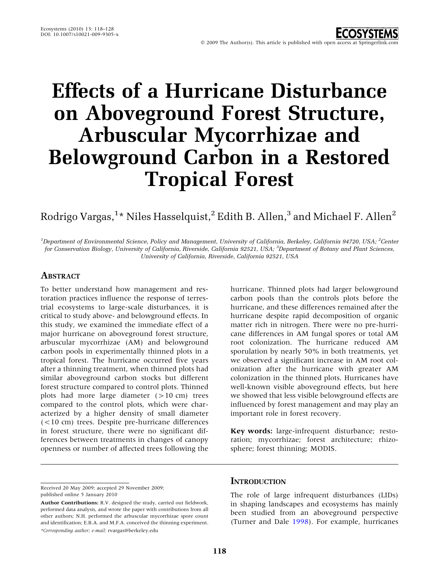# Effects of a Hurricane Disturbance on Aboveground Forest Structure, Arbuscular Mycorrhizae and Belowground Carbon in a Restored Tropical Forest

# Rodrigo Vargas, $^{1\star}$  Niles Hasselquist, $^{2}$  Edith B. Allen, $^{3}$  and Michael F. Allen $^{2}$

 $^1$ Department of Environmental Science, Policy and Management, University of California, Berkeley, California 94720, USA;  $^2$ Center for Conservation Biology, University of California, Riverside, California 92521, USA; <sup>3</sup>Department of Botany and Plant Sciences, University of California, Riverside, California 92521, USA

# **ABSTRACT**

To better understand how management and restoration practices influence the response of terrestrial ecosystems to large-scale disturbances, it is critical to study above- and belowground effects. In this study, we examined the immediate effect of a major hurricane on aboveground forest structure, arbuscular mycorrhizae (AM) and belowground carbon pools in experimentally thinned plots in a tropical forest. The hurricane occurred five years after a thinning treatment, when thinned plots had similar aboveground carbon stocks but different forest structure compared to control plots. Thinned plots had more large diameter  $(>10 \text{ cm})$  trees compared to the control plots, which were characterized by a higher density of small diameter (<10 cm) trees. Despite pre-hurricane differences in forest structure, there were no significant differences between treatments in changes of canopy openness or number of affected trees following the

hurricane. Thinned plots had larger belowground carbon pools than the controls plots before the hurricane, and these differences remained after the hurricane despite rapid decomposition of organic matter rich in nitrogen. There were no pre-hurricane differences in AM fungal spores or total AM root colonization. The hurricane reduced AM sporulation by nearly 50% in both treatments, yet we observed a significant increase in AM root colonization after the hurricane with greater AM colonization in the thinned plots. Hurricanes have well-known visible aboveground effects, but here we showed that less visible belowground effects are influenced by forest management and may play an important role in forest recovery.

Key words: large-infrequent disturbance; restoration; mycorrhizae; forest architecture; rhizosphere; forest thinning; MODIS.

Received 20 May 2009; accepted 29 November 2009; published online 5 January 2010

#### **INTRODUCTION**

The role of large infrequent disturbances (LIDs) in shaping landscapes and ecosystems has mainly been studied from an aboveground perspective (Turner and Dale [1998](#page-10-0)). For example, hurricanes

Author Contributions: R.V. designed the study, carried out fieldwork, performed data analysis, and wrote the paper with contributions from all other authors; N.H. performed the arbuscular mycorrhizae spore count and identification; E.B.A. and M.F.A. conceived the thinning experiment. \*Corresponding author; e-mail: rvargas@berkeley.edu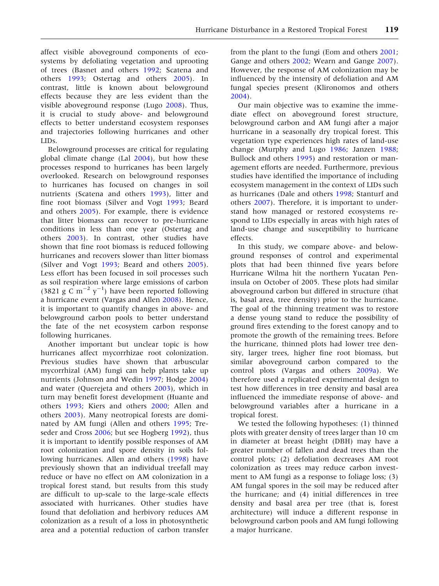affect visible aboveground components of ecosystems by defoliating vegetation and uprooting of trees (Basnet and others [1992;](#page-9-0) Scatena and others [1993;](#page-10-0) Ostertag and others [2005\)](#page-10-0). In contrast, little is known about belowground effects because they are less evident than the visible aboveground response (Lugo [2008](#page-10-0)). Thus, it is crucial to study above- and belowground effects to better understand ecosystem responses and trajectories following hurricanes and other LIDs.

Belowground processes are critical for regulating global climate change (Lal [2004](#page-10-0)), but how these processes respond to hurricanes has been largely overlooked. Research on belowground responses to hurricanes has focused on changes in soil nutrients (Scatena and others [1993](#page-10-0)), litter and fine root biomass (Silver and Vogt [1993;](#page-10-0) Beard and others [2005\)](#page-9-0). For example, there is evidence that litter biomass can recover to pre-hurricane conditions in less than one year (Ostertag and others [2003](#page-10-0)). In contrast, other studies have shown that fine root biomass is reduced following hurricanes and recovers slower than litter biomass (Silver and Vogt [1993](#page-10-0); Beard and others [2005](#page-9-0)). Less effort has been focused in soil processes such as soil respiration where large emissions of carbon (3821 g C m<sup>-2</sup> y<sup>-1</sup>) have been reported following a hurricane event (Vargas and Allen [2008\)](#page-10-0). Hence, it is important to quantify changes in above- and belowground carbon pools to better understand the fate of the net ecosystem carbon response following hurricanes.

Another important but unclear topic is how hurricanes affect mycorrhizae root colonization. Previous studies have shown that arbuscular mycorrhizal (AM) fungi can help plants take up nutrients (Johnson and Wedin [1997](#page-10-0); Hodge [2004](#page-10-0)) and water (Querejeta and others [2003\)](#page-10-0), which in turn may benefit forest development (Huante and others [1993;](#page-10-0) Kiers and others [2000;](#page-10-0) Allen and others [2003\)](#page-9-0). Many neotropical forests are dominated by AM fungi (Allen and others [1995](#page-9-0); Treseder and Cross [2006;](#page-10-0) but see Hogberg [1992\)](#page-10-0), thus it is important to identify possible responses of AM root colonization and spore density in soils following hurricanes. Allen and others [\(1998](#page-9-0)) have previously shown that an individual treefall may reduce or have no effect on AM colonization in a tropical forest stand, but results from this study are difficult to up-scale to the large-scale effects associated with hurricanes. Other studies have found that defoliation and herbivory reduces AM colonization as a result of a loss in photosynthetic area and a potential reduction of carbon transfer

from the plant to the fungi (Eom and others [2001](#page-9-0); Gange and others [2002;](#page-9-0) Wearn and Gange [2007](#page-10-0)). However, the response of AM colonization may be influenced by the intensity of defoliation and AM fungal species present (Klironomos and others [2004\)](#page-10-0).

Our main objective was to examine the immediate effect on aboveground forest structure, belowground carbon and AM fungi after a major hurricane in a seasonally dry tropical forest. This vegetation type experiences high rates of land-use change (Murphy and Lugo [1986](#page-10-0); Janzen [1988](#page-10-0); Bullock and others [1995\)](#page-9-0) and restoration or management efforts are needed. Furthermore, previous studies have identified the importance of including ecosystem management in the context of LIDs such as hurricanes (Dale and others [1998](#page-9-0); Stanturf and others [2007\)](#page-10-0). Therefore, it is important to understand how managed or restored ecosystems respond to LIDs especially in areas with high rates of land-use change and susceptibility to hurricane effects.

In this study, we compare above- and belowground responses of control and experimental plots that had been thinned five years before Hurricane Wilma hit the northern Yucatan Peninsula on October of 2005. These plots had similar aboveground carbon but differed in structure (that is, basal area, tree density) prior to the hurricane. The goal of the thinning treatment was to restore a dense young stand to reduce the possibility of ground fires extending to the forest canopy and to promote the growth of the remaining trees. Before the hurricane, thinned plots had lower tree density, larger trees, higher fine root biomass, but similar aboveground carbon compared to the control plots (Vargas and others [2009a](#page-10-0)). We therefore used a replicated experimental design to test how differences in tree density and basal area influenced the immediate response of above- and belowground variables after a hurricane in a tropical forest.

We tested the following hypotheses: (1) thinned plots with greater density of trees larger than 10 cm in diameter at breast height (DBH) may have a greater number of fallen and dead trees than the control plots; (2) defoliation decreases AM root colonization as trees may reduce carbon investment to AM fungi as a response to foliage loss; (3) AM fungal spores in the soil may be reduced after the hurricane; and (4) initial differences in tree density and basal area per tree (that is, forest architecture) will induce a different response in belowground carbon pools and AM fungi following a major hurricane.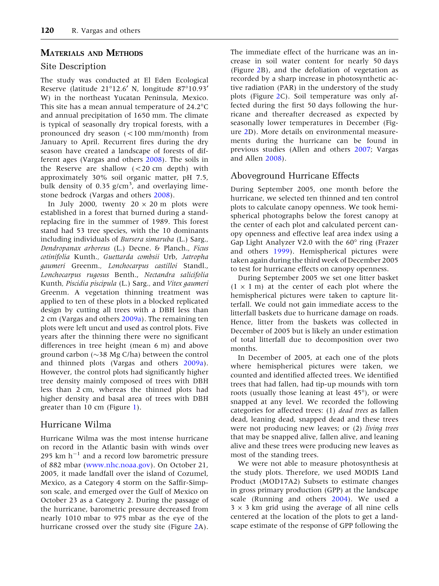#### MATERIALS AND METHODS

#### Site Description

The study was conducted at El Eden Ecological Reserve (latitude 21°12.6' N, longitude 87°10.93' W) in the northeast Yucatan Peninsula, Mexico. This site has a mean annual temperature of 24.2 $^{\circ}$ C and annual precipitation of 1650 mm. The climate is typical of seasonally dry tropical forests, with a pronounced dry season (<100 mm/month) from January to April. Recurrent fires during the dry season have created a landscape of forests of different ages (Vargas and others [2008](#page-10-0)). The soils in the Reserve are shallow  $( $20 \text{ cm}$  depth) with$ approximately 30% soil organic matter, pH 7.5, bulk density of 0.35  $g/cm^3$ , and overlaying limestone bedrock (Vargas and others [2008](#page-10-0)).

In July 2000, twenty  $20 \times 20$  m plots were established in a forest that burned during a standreplacing fire in the summer of 1989. This forest stand had 53 tree species, with the 10 dominants including individuals of Bursera simaruba (L.) Sarg., Dendropanax arboreus (L.) Decne. & Planch., Ficus cotinifolia Kunth., Guettarda combsii Urb, Jatropha gaumeri Greenm., Lonchocarpus castilloi Standl., Lonchocarpus rugosus Benth., Nectandra salicifolia Kunth, Piscidia piscipula (L.) Sarg., and Vitex gaumeri Greenm. A vegetation thinning treatment was applied to ten of these plots in a blocked replicated design by cutting all trees with a DBH less than 2 cm (Vargas and others [2009a](#page-10-0)). The remaining ten plots were left uncut and used as control plots. Five years after the thinning there were no significant differences in tree height (mean 6 m) and above ground carbon ( $\sim$ 38 Mg C/ha) between the control and thinned plots (Vargas and others [2009a](#page-10-0)). However, the control plots had significantly higher tree density mainly composed of trees with DBH less than 2 cm, whereas the thinned plots had higher density and basal area of trees with DBH greater than 10 cm (Figure [1\)](#page-3-0).

#### Hurricane Wilma

Hurricane Wilma was the most intense hurricane on record in the Atlantic basin with winds over 295 km  $h^{-1}$  and a record low barometric pressure of 882 mbar [\(www.nhc.noaa.gov](http://www.nhc.noaa.gov)). On October 21, 2005, it made landfall over the island of Cozumel, Mexico, as a Category 4 storm on the Saffir-Simpson scale, and emerged over the Gulf of Mexico on October 23 as a Category 2. During the passage of the hurricane, barometric pressure decreased from nearly 1010 mbar to 975 mbar as the eye of the hurricane crossed over the study site (Figure [2](#page-3-0)A). The immediate effect of the hurricane was an increase in soil water content for nearly 50 days (Figure [2B](#page-3-0)), and the defoliation of vegetation as recorded by a sharp increase in photosynthetic active radiation (PAR) in the understory of the study plots (Figure [2](#page-3-0)C). Soil temperature was only affected during the first 50 days following the hurricane and thereafter decreased as expected by seasonally lower temperatures in December (Figure [2D](#page-3-0)). More details on environmental measurements during the hurricane can be found in previous studies (Allen and others [2007;](#page-9-0) Vargas and Allen [2008](#page-10-0)).

# Aboveground Hurricane Effects

During September 2005, one month before the hurricane, we selected ten thinned and ten control plots to calculate canopy openness. We took hemispherical photographs below the forest canopy at the center of each plot and calculated percent canopy openness and effective leaf area index using a Gap Light Analyzer V2.0 with the  $60^\circ$  ring (Frazer and others [1999\)](#page-9-0). Hemispherical pictures were taken again during the third week of December 2005 to test for hurricane effects on canopy openness.

During September 2005 we set one litter basket  $(1 \times 1 \text{ m})$  at the center of each plot where the hemispherical pictures were taken to capture litterfall. We could not gain immediate access to the litterfall baskets due to hurricane damage on roads. Hence, litter from the baskets was collected in December of 2005 but is likely an under estimation of total litterfall due to decomposition over two months.

In December of 2005, at each one of the plots where hemispherical pictures were taken, we counted and identified affected trees. We identified trees that had fallen, had tip-up mounds with torn roots (usually those leaning at least 45°), or were snapped at any level. We recorded the following categories for affected trees: (1) dead trees as fallen dead, leaning dead, snapped dead and these trees were not producing new leaves; or (2) *living trees* that may be snapped alive, fallen alive, and leaning alive and these trees were producing new leaves as most of the standing trees.

We were not able to measure photosynthesis at the study plots. Therefore, we used MODIS Land Product (MOD17A2) Subsets to estimate changes in gross primary production (GPP) at the landscape scale (Running and others [2004\)](#page-10-0). We used a  $3 \times 3$  km grid using the average of all nine cells centered at the location of the plots to get a landscape estimate of the response of GPP following the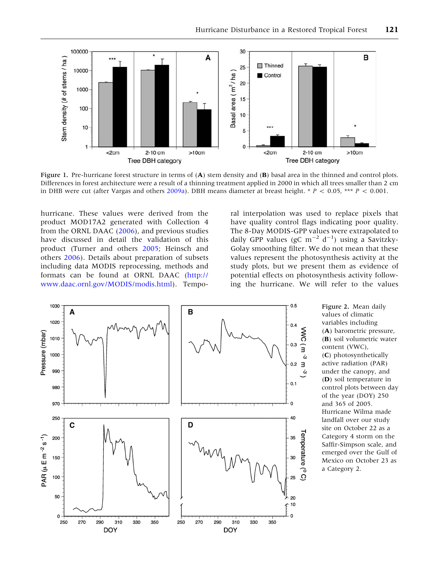<span id="page-3-0"></span>

Figure 1. Pre-hurricane forest structure in terms of (A) stem density and (B) basal area in the thinned and control plots. Differences in forest architecture were a result of a thinning treatment applied in 2000 in which all trees smaller than 2 cm in DHB were cut (after Vargas and others [2009a\)](#page-10-0). DBH means diameter at breast height.  $* P < 0.05$ ,  $*** P < 0.001$ .

hurricane. These values were derived from the product MOD17A2 generated with Collection 4 from the ORNL DAAC [\(2006](#page-10-0)), and previous studies have discussed in detail the validation of this product (Turner and others [2005;](#page-10-0) Heinsch and others [2006\)](#page-9-0). Details about preparation of subsets including data MODIS reprocessing, methods and formats can be found at ORNL DAAC [\(http://](http://www.daac.ornl.gov/MODIS/modis.html) [www.daac.ornl.gov/MODIS/modis.html](http://www.daac.ornl.gov/MODIS/modis.html)). Tempo-

ral interpolation was used to replace pixels that have quality control flags indicating poor quality. The 8-Day MODIS-GPP values were extrapolated to daily GPP values (gC  $m^{-2}$  d<sup>-1</sup>) using a Savitzky-Golay smoothing filter. We do not mean that these values represent the photosynthesis activity at the study plots, but we present them as evidence of potential effects on photosynthesis activity following the hurricane. We will refer to the values



Figure 2. Mean daily values of climatic variables including (A) barometric pressure, (B) soil volumetric water content (VWC), (C) photosynthetically active radiation (PAR) under the canopy, and (D) soil temperature in control plots between day of the year (DOY) 250 and 365 of 2005. Hurricane Wilma made landfall over our study site on October 22 as a Category 4 storm on the Saffir-Simpson scale, and emerged over the Gulf of Mexico on October 23 as a Category 2.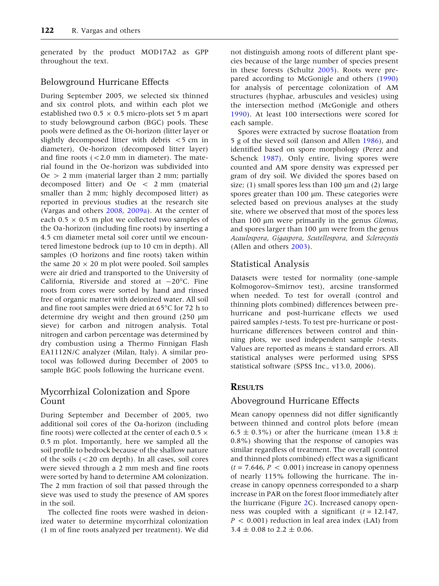generated by the product MOD17A2 as GPP throughout the text.

# Belowground Hurricane Effects

During September 2005, we selected six thinned and six control plots, and within each plot we established two 0.5  $\times$  0.5 micro-plots set 5 m apart to study belowground carbon (BGC) pools. These pools were defined as the Oi-horizon (litter layer or slightly decomposed litter with debris  $\lt$ 5 cm in diameter), Oe-horizon (decomposed litter layer) and fine roots  $(< 2.0$  mm in diameter). The material found in the Oe-horizon was subdivided into  $0e > 2$  mm (material larger than 2 mm; partially decomposed litter) and Oe < 2 mm (material smaller than 2 mm; highly decomposed litter) as reported in previous studies at the research site (Vargas and others [2008,](#page-10-0) [2009a](#page-10-0)). At the center of each 0.5  $\times$  0.5 m plot we collected two samples of the Oa-horizon (including fine roots) by inserting a 4.5 cm diameter metal soil corer until we encountered limestone bedrock (up to 10 cm in depth). All samples (O horizons and fine roots) taken within the same  $20 \times 20$  m plot were pooled. Soil samples were air dried and transported to the University of California, Riverside and stored at  $-20^{\circ}$ C. Fine roots from cores were sorted by hand and rinsed free of organic matter with deionized water. All soil and fine root samples were dried at 65°C for 72  $h$  to determine dry weight and then ground  $(250 \mu m)$ sieve) for carbon and nitrogen analysis. Total nitrogen and carbon percentage was determined by dry combustion using a Thermo Finnigan Flash EA1112N/C analyzer (Milan, Italy). A similar protocol was followed during December of 2005 to sample BGC pools following the hurricane event.

# Mycorrhizal Colonization and Spore Count

During September and December of 2005, two additional soil cores of the Oa-horizon (including fine roots) were collected at the center of each 0.5  $\times$ 0.5 m plot. Importantly, here we sampled all the soil profile to bedrock because of the shallow nature of the soils  $( $20 \text{ cm}$  depth)$ . In all cases, soil cores were sieved through a 2 mm mesh and fine roots were sorted by hand to determine AM colonization. The 2 mm fraction of soil that passed through the sieve was used to study the presence of AM spores in the soil.

The collected fine roots were washed in deionized water to determine mycorrhizal colonization (1 m of fine roots analyzed per treatment). We did

not distinguish among roots of different plant species because of the large number of species present in these forests (Schultz [2005](#page-10-0)). Roots were prepared according to McGonigle and others [\(1990](#page-10-0)) for analysis of percentage colonization of AM structures (hyphae, arbuscules and vesicles) using the intersection method (McGonigle and others [1990\)](#page-10-0). At least 100 intersections were scored for each sample.

Spores were extracted by sucrose floatation from 5 g of the sieved soil (Ianson and Allen [1986\)](#page-10-0), and identified based on spore morphology (Perez and Schenck [1987](#page-10-0)). Only entire, living spores were counted and AM spore density was expressed per gram of dry soil. We divided the spores based on size; (1) small spores less than 100  $\mu$ m and (2) large spores greater than  $100 \mu m$ . These categories were selected based on previous analyses at the study site, where we observed that most of the spores less than 100 µm were primarily in the genus *Glomus*, and spores larger than  $100 \mu m$  were from the genus Acaulospora, Gigaspora, Scutellospora, and Sclerocystis (Allen and others [2003](#page-9-0)).

# Statistical Analysis

Datasets were tested for normality (one-sample Kolmogorov–Smirnov test), arcsine transformed when needed. To test for overall (control and thinning plots combined) differences between prehurricane and post-hurricane effects we used paired samples t-tests. To test pre-hurricane or posthurricane differences between control and thinning plots, we used independent sample t-tests. Values are reported as means  $\pm$  standard errors. All statistical analyses were performed using SPSS statistical software (SPSS Inc., v13.0, 2006).

#### **RESULTS**

# Aboveground Hurricane Effects

Mean canopy openness did not differ significantly between thinned and control plots before (mean 6.5  $\pm$  0.3%) or after the hurricane (mean 13.8  $\pm$ 0.8%) showing that the response of canopies was similar regardless of treatment. The overall (control and thinned plots combined) effect was a significant  $(t = 7.646, P < 0.001)$  increase in canopy openness of nearly 115% following the hurricane. The increase in canopy openness corresponded to a sharp increase in PAR on the forest floor immediately after the hurricane (Figure [2C](#page-3-0)). Increased canopy openness was coupled with a significant  $(t = 12.147)$ ,  $P < 0.001$ ) reduction in leaf area index (LAI) from  $3.4 \pm 0.08$  to  $2.2 \pm 0.06$ .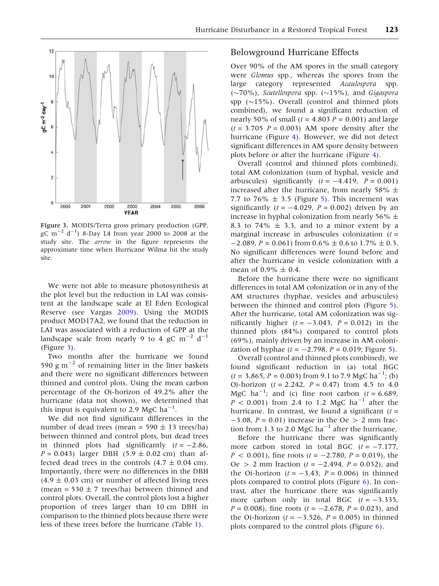

Figure 3. MODIS/Terra gross primary production (GPP,  $\rm gC$  m<sup>-2</sup> d<sup>-1</sup>) 8-Day L4 from year 2000 to 2008 at the study site. The arrow in the figure represents the approximate time when Hurricane Wilma hit the study site.

We were not able to measure photosynthesis at the plot level but the reduction in LAI was consistent at the landscape scale at El Eden Ecological Reserve (see Vargas [2009\)](#page-10-0). Using the MODIS product MOD17A2, we found that the reduction in LAI was associated with a reduction of GPP at the landscape scale from nearly 9 to 4 gC  $m^{-2}$  d<sup>-1</sup> (Figure 3).

Two months after the hurricane we found 590 g  $\text{m}^{-2}$  of remaining litter in the litter baskets and there were no significant differences between thinned and control plots. Using the mean carbon percentage of the Oi-horizon of 49.2% after the hurricane (data not shown), we determined that this input is equivalent to 2.9 MgC  $ha^{-1}$ .

We did not find significant differences in the number of dead trees (mean =  $590 \pm 13$  trees/ha) between thinned and control plots, but dead trees in thinned plots had significantly  $(t = -2.86$ ,  $P = 0.043$ ) larger DBH (5.9  $\pm$  0.02 cm) than affected dead trees in the controls  $(4.7 \pm 0.04 \text{ cm})$ . Importantly, there were no differences in the DBH  $(4.9 \pm 0.03$  cm) or number of affected living trees (mean =  $530 \pm 7$  trees/ha) between thinned and control plots. Overall, the control plots lost a higher proportion of trees larger than 10 cm DBH in comparison to the thinned plots because there were less of these trees before the hurricane (Table [1\)](#page-6-0).

# Belowground Hurricane Effects

Over 90% of the AM spores in the small category were Glomus spp., whereas the spores from the large category represented Acaulospora spp.  $(\sim 70\%)$ , Scutellospora spp.  $(\sim 15\%)$ , and Gigaspora spp  $(\sim]15\%$ ). Overall (control and thinned plots combined), we found a significant reduction of nearly 50% of small ( $t = 4.803 P = 0.001$ ) and large  $(t = 3.705 \text{ } P = 0.003)$  AM spore density after the hurricane (Figure [4](#page-6-0)). However, we did not detect significant differences in AM spore density between plots before or after the hurricane (Figure [4](#page-6-0)).

Overall (control and thinned plots combined), total AM colonization (sum of hyphal, vesicle and arbuscules) significantly  $(t = -4.419, P = 0.001)$ increased after the hurricane, from nearly 58%  $\pm$ 7.7 to 76%  $\pm$  3.[5](#page-7-0) (Figure 5). This increment was significantly  $(t = -4.029, P = 0.002)$  driven by an increase in hyphal colonization from nearly 56%  $\pm$ 8.3 to 74%  $\pm$  3.3, and to a minor extent by a marginal increase in arbuscules colonization  $(t =$  $-2.089$ ,  $P = 0.061$ ) from  $0.6\% \pm 0.6$  to  $1.7\% \pm 0.3$ . No significant differences were found before and after the hurricane in vesicle colonization with a mean of  $0.9\% \pm 0.4$ .

Before the hurricane there were no significant differences in total AM colonization or in any of the AM structures (hyphae, vesicles and arbuscules) between the thinned and control plots (Figure [5](#page-7-0)). After the hurricane, total AM colonization was significantly higher  $(t = -3.043, P = 0.012)$  in the thinned plots (84%) compared to control plots (69%), mainly driven by an increase in AM colonization of hyphae ( $t = -2.798$ ,  $P = 0.019$ ; Figure [5\)](#page-7-0).

Overall (control and thinned plots combined), we found significant reduction in (a) total BGC  $(t = 3.865, P = 0.003)$  from 9.1 to 7.9 MgC ha<sup>-1</sup>; (b) Oi-horizon ( $t = 2.242$ ,  $P = 0.47$ ) from 4.5 to 4.0 MgC ha<sup>-1</sup>; and (c) fine root carbon ( $t = 6.689$ ,  $P < 0.001$ ) from 2.4 to 1.2 MgC ha<sup>-1</sup> after the hurricane. In contrast, we found a significant  $(t =$  $-3.08$ ,  $P = 0.01$ ) increase in the Oe  $> 2$  mm fraction from 1.3 to 2.0 MgC ha<sup>-1</sup> after the hurricane.

Before the hurricane there was significantly more carbon stored in total BGC  $(t = -7.177)$ ,  $P < 0.001$ ), fine roots ( $t = -2.780$ ,  $P = 0.019$ ), the Oe > 2 mm fraction ( $t = -2.494$ ,  $P = 0.032$ ), and the Oi-horizon ( $t = -3.43$ ,  $P = 0.006$ ) in thinned plots compared to control plots (Figure [6](#page-7-0)). In contrast, after the hurricane there was significantly more carbon only in total BGC  $(t = -3.335)$ ,  $P = 0.008$ ), fine roots ( $t = -2.678$ ,  $P = 0.023$ ), and the Oi-horizon ( $t = -3.526$ ,  $P = 0.005$ ) in thinned plots compared to the control plots (Figure [6](#page-7-0)).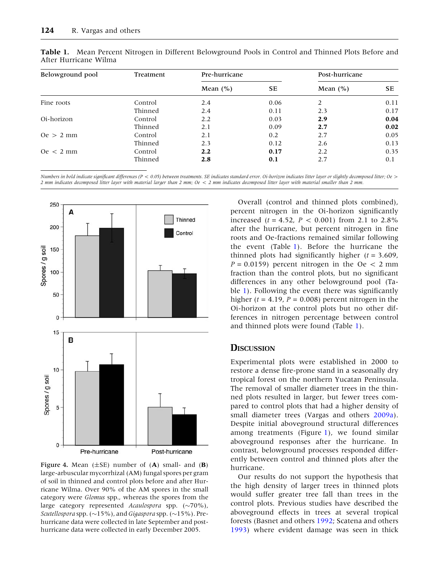| Belowground pool | Treatment | Pre-hurricane |      | Post-hurricane |           |
|------------------|-----------|---------------|------|----------------|-----------|
|                  |           | Mean $(\% )$  | SE   | Mean $(\% )$   | <b>SE</b> |
| Fine roots       | Control   | 2.4           | 0.06 | 2              | 0.11      |
|                  | Thinned   | 2.4           | 0.11 | 2.3            | 0.17      |
| Oi-horizon       | Control   | 2.2           | 0.03 | 2.9            | 0.04      |
|                  | Thinned   | 2.1           | 0.09 | 2.7            | 0.02      |
| $0e > 2$ mm      | Control   | 2.1           | 0.2  | 2.7            | 0.05      |
|                  | Thinned   | 2.3           | 0.12 | 2.6            | 0.13      |
| $0e < 2$ mm      | Control   | 2.2           | 0.17 | 2.2            | 0.35      |
|                  | Thinned   | 2.8           | 0.1  | 2.7            | 0.1       |

<span id="page-6-0"></span>Table 1. Mean Percent Nitrogen in Different Belowground Pools in Control and Thinned Plots Before and After Hurricane Wilma

Numbers in bold indicate significant differences ( $P < 0.05$ ) between treatments. SE indicates standard error. Oi-horizon indicates litter layer or slightly decomposed litter; Oe  $>$ 2 mm indicates decomposed litter layer with material larger than 2 mm; Oe < 2 mm indicates decomposed litter layer with material smaller than 2 mm.



Figure 4. Mean  $(\pm SE)$  number of  $(A)$  small- and  $(B)$ large-arbuscular mycorrhizal (AM) fungal spores per gram of soil in thinned and control plots before and after Hurricane Wilma. Over 90% of the AM spores in the small category were Glomus spp., whereas the spores from the large category represented Acaulospora spp.  $(\sim 70\%)$ , Scutellospora spp. ( $\sim$ 15%), and Gigaspora spp. ( $\sim$ 15%). Prehurricane data were collected in late September and posthurricane data were collected in early December 2005.

Overall (control and thinned plots combined), percent nitrogen in the Oi-horizon significantly increased ( $t = 4.52$ ,  $P < 0.001$ ) from 2.1 to 2.8% after the hurricane, but percent nitrogen in fine roots and Oe-fractions remained similar following the event (Table 1). Before the hurricane the thinned plots had significantly higher  $(t = 3.609)$ ,  $P = 0.0159$ ) percent nitrogen in the Oe < 2 mm fraction than the control plots, but no significant differences in any other belowground pool (Table 1). Following the event there was significantly higher ( $t = 4.19$ ,  $P = 0.008$ ) percent nitrogen in the Oi-horizon at the control plots but no other differences in nitrogen percentage between control and thinned plots were found (Table 1).

#### **DISCUSSION**

Experimental plots were established in 2000 to restore a dense fire-prone stand in a seasonally dry tropical forest on the northern Yucatan Peninsula. The removal of smaller diameter trees in the thinned plots resulted in larger, but fewer trees compared to control plots that had a higher density of small diameter trees (Vargas and others [2009a](#page-10-0)). Despite initial aboveground structural differences among treatments (Figure [1\)](#page-3-0), we found similar aboveground responses after the hurricane. In contrast, belowground processes responded differently between control and thinned plots after the hurricane.

Our results do not support the hypothesis that the high density of larger trees in thinned plots would suffer greater tree fall than trees in the control plots. Previous studies have described the aboveground effects in trees at several tropical forests (Basnet and others [1992](#page-9-0); Scatena and others [1993\)](#page-10-0) where evident damage was seen in thick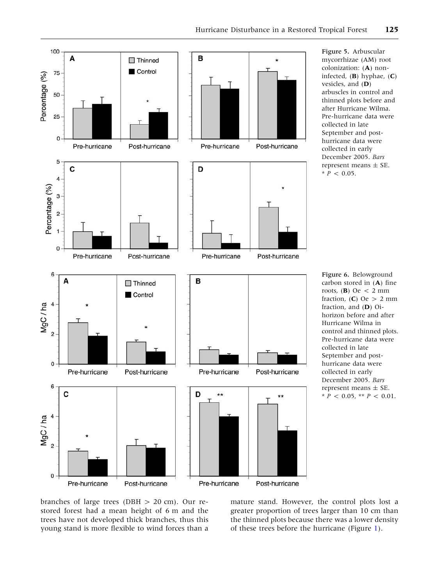<span id="page-7-0"></span>



Figure 6. Belowground carbon stored in  $(A)$  fine roots,  $(B)$  Oe  $<$  2 mm fraction,  $(C)$  Oe  $> 2$  mm fraction, and (D) Oihorizon before and after Hurricane Wilma in control and thinned plots. Pre-hurricane data were collected in late September and posthurricane data were collected in early December 2005. Bars represent means  $\pm$  SE. \*  $P < 0.05$ , \*\*  $P < 0.01$ .

branches of large trees (DBH  $> 20$  cm). Our restored forest had a mean height of 6 m and the trees have not developed thick branches, thus this young stand is more flexible to wind forces than a

mature stand. However, the control plots lost a greater proportion of trees larger than 10 cm than the thinned plots because there was a lower density of these trees before the hurricane (Figure [1](#page-3-0)).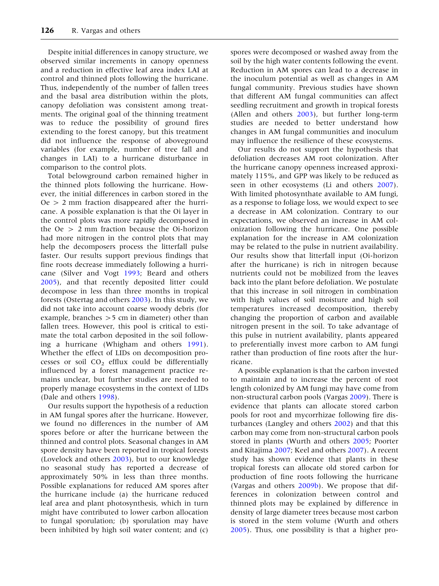Despite initial differences in canopy structure, we observed similar increments in canopy openness and a reduction in effective leaf area index LAI at control and thinned plots following the hurricane. Thus, independently of the number of fallen trees and the basal area distribution within the plots, canopy defoliation was consistent among treatments. The original goal of the thinning treatment was to reduce the possibility of ground fires extending to the forest canopy, but this treatment did not influence the response of aboveground variables (for example, number of tree fall and changes in LAI) to a hurricane disturbance in comparison to the control plots.

Total belowground carbon remained higher in the thinned plots following the hurricane. However, the initial differences in carbon stored in the  $0e > 2$  mm fraction disappeared after the hurricane. A possible explanation is that the Oi layer in the control plots was more rapidly decomposed in the  $0e > 2$  mm fraction because the Oi-horizon had more nitrogen in the control plots that may help the decomposers process the litterfall pulse faster. Our results support previous findings that fine roots decrease immediately following a hurricane (Silver and Vogt [1993;](#page-10-0) Beard and others [2005\)](#page-9-0), and that recently deposited litter could decompose in less than three months in tropical forests (Ostertag and others [2003](#page-10-0)). In this study, we did not take into account coarse woody debris (for example, branches  $>5$  cm in diameter) other than fallen trees. However, this pool is critical to estimate the total carbon deposited in the soil following a hurricane (Whigham and others [1991](#page-10-0)). Whether the effect of LIDs on decomposition processes or soil  $CO<sub>2</sub>$  efflux could be differentially influenced by a forest management practice remains unclear, but further studies are needed to properly manage ecosystems in the context of LIDs (Dale and others [1998\)](#page-9-0).

Our results support the hypothesis of a reduction in AM fungal spores after the hurricane. However, we found no differences in the number of AM spores before or after the hurricane between the thinned and control plots. Seasonal changes in AM spore density have been reported in tropical forests (Lovelock and others [2003\)](#page-10-0), but to our knowledge no seasonal study has reported a decrease of approximately 50% in less than three months. Possible explanations for reduced AM spores after the hurricane include (a) the hurricane reduced leaf area and plant photosynthesis, which in turn might have contributed to lower carbon allocation to fungal sporulation; (b) sporulation may have been inhibited by high soil water content; and (c)

spores were decomposed or washed away from the soil by the high water contents following the event. Reduction in AM spores can lead to a decrease in the inoculum potential as well as changes in AM fungal community. Previous studies have shown that different AM fungal communities can affect seedling recruitment and growth in tropical forests (Allen and others [2003\)](#page-9-0), but further long-term studies are needed to better understand how changes in AM fungal communities and inoculum may influence the resilience of these ecosystems.

Our results do not support the hypothesis that defoliation decreases AM root colonization. After the hurricane canopy openness increased approximately 115%, and GPP was likely to be reduced as seen in other ecosystems (Li and others [2007](#page-10-0)). With limited photosynthate available to AM fungi, as a response to foliage loss, we would expect to see a decrease in AM colonization. Contrary to our expectations, we observed an increase in AM colonization following the hurricane. One possible explanation for the increase in AM colonization may be related to the pulse in nutrient availability. Our results show that litterfall input (Oi-horizon after the hurricane) is rich in nitrogen because nutrients could not be mobilized from the leaves back into the plant before defoliation. We postulate that this increase in soil nitrogen in combination with high values of soil moisture and high soil temperatures increased decomposition, thereby changing the proportion of carbon and available nitrogen present in the soil. To take advantage of this pulse in nutrient availability, plants appeared to preferentially invest more carbon to AM fungi rather than production of fine roots after the hurricane.

A possible explanation is that the carbon invested to maintain and to increase the percent of root length colonized by AM fungi may have come from non-structural carbon pools (Vargas [2009](#page-10-0)). There is evidence that plants can allocate stored carbon pools for root and mycorrhizae following fire disturbances (Langley and others [2002](#page-10-0)) and that this carbon may come from non-structural carbon pools stored in plants (Wurth and others [2005;](#page-10-0) Poorter and Kitajima [2007](#page-10-0); Keel and others [2007](#page-10-0)). A recent study has shown evidence that plants in these tropical forests can allocate old stored carbon for production of fine roots following the hurricane (Vargas and others [2009b\)](#page-10-0). We propose that differences in colonization between control and thinned plots may be explained by difference in density of large diameter trees because most carbon is stored in the stem volume (Wurth and others [2005\)](#page-10-0). Thus, one possibility is that a higher pro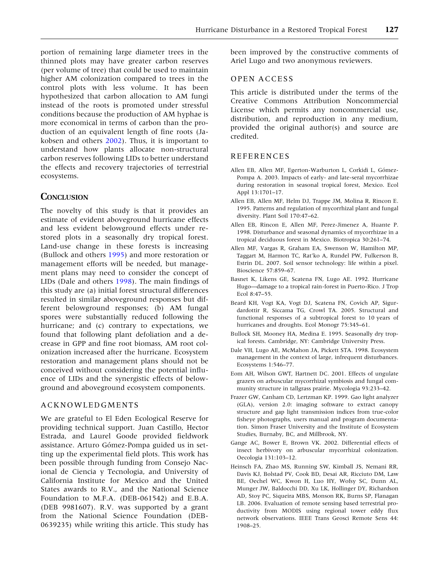<span id="page-9-0"></span>portion of remaining large diameter trees in the thinned plots may have greater carbon reserves (per volume of tree) that could be used to maintain higher AM colonization compared to trees in the control plots with less volume. It has been hypothesized that carbon allocation to AM fungi instead of the roots is promoted under stressful conditions because the production of AM hyphae is more economical in terms of carbon than the production of an equivalent length of fine roots (Jakobsen and others [2002\)](#page-10-0). Thus, it is important to understand how plants allocate non-structural carbon reserves following LIDs to better understand the effects and recovery trajectories of terrestrial ecosystems.

#### **CONCLUSION**

The novelty of this study is that it provides an estimate of evident aboveground hurricane effects and less evident belowground effects under restored plots in a seasonally dry tropical forest. Land-use change in these forests is increasing (Bullock and others 1995) and more restoration or management efforts will be needed, but management plans may need to consider the concept of LIDs (Dale and others 1998). The main findings of this study are (a) initial forest structural differences resulted in similar aboveground responses but different belowground responses; (b) AM fungal spores were substantially reduced following the hurricane; and (c) contrary to expectations, we found that following plant defoliation and a decrease in GPP and fine root biomass, AM root colonization increased after the hurricane. Ecosystem restoration and management plans should not be conceived without considering the potential influence of LIDs and the synergistic effects of belowground and aboveground ecosystem components.

#### ACKNOWLEDGMENTS

We are grateful to El Eden Ecological Reserve for providing technical support. Juan Castillo, Hector Estrada, and Laurel Goode provided fieldwork assistance. Arturo Gómez-Pompa guided us in setting up the experimental field plots. This work has been possible through funding from Consejo Nacional de Ciencia y Tecnologia, and University of California Institute for Mexico and the United States awards to R.V., and the National Science Foundation to M.F.A. (DEB-061542) and E.B.A. (DEB 9981607). R.V. was supported by a grant from the National Science Foundation (DEB-0639235) while writing this article. This study has been improved by the constructive comments of Ariel Lugo and two anonymous reviewers.

#### OPEN ACCESS

This article is distributed under the terms of the Creative Commons Attribution Noncommercial License which permits any noncommercial use, distribution, and reproduction in any medium, provided the original author(s) and source are credited.

#### REFERENCES

- Allen EB, Allen MF, Egerton-Warburton L, Corkidi L, Gómez-Pompa A. 2003. Impacts of early- and late-seral mycorrhizae during restoration in seasonal tropical forest, Mexico. Ecol Appl 13:1701–17.
- Allen EB, Allen MF, Helm DJ, Trappe JM, Molina R, Rincon E. 1995. Patterns and regulation of mycorrhizal plant and fungal diversity. Plant Soil 170:47–62.
- Allen EB, Rincon E, Allen MF, Perez-Jimenez A, Huante P. 1998. Disturbance and seasonal dynamics of mycorrhizae in a tropical deciduous forest in Mexico. Biotropica 30:261–74.
- Allen MF, Vargas R, Graham EA, Swenson W, Hamilton MP, Taggart M, Harmon TC, Rat'ko A, Rundel PW, Fulkerson B, Estrin DL. 2007. Soil sensor technology: life within a pixel. Bioscience 57:859–67.
- Basnet K, Likens GE, Scatena FN, Lugo AE. 1992. Hurricane Hugo—damage to a tropical rain-forest in Puerto-Rico. J Trop Ecol 8:47–55.
- Beard KH, Vogt KA, Vogt DJ, Scatena FN, Covich AP, Sigurdardottir R, Siccama TG, Crowl TA. 2005. Structural and functional responses of a subtropical forest to 10 years of hurricanes and droughts. Ecol Monogr 75:345–61.
- Bullock SH, Mooney HA, Medina E. 1995. Seasonally dry tropical forests. Cambridge, NY: Cambridge University Press.
- Dale VH, Lugo AE, McMahon JA, Pickett STA. 1998. Ecosystem management in the context of large, infrequent disturbances. Ecosystems 1:546–77.
- Eom AH, Wilson GWT, Hartnett DC. 2001. Effects of ungulate grazers on arbuscular mycorrhizal symbiosis and fungal community structure in tallgrass prairie. Mycologia 93:233–42.
- Frazer GW, Canham CD, Lertzman KP. 1999. Gao light analyzer (GLA), version 2.0: imaging software to extract canopy structure and gap light transmission indices from true-color fisheye photographs, users manual and program documentation. Simon Fraser University and the Institute of Ecosystem Studies, Burnaby, BC, and Millbrook, NY.
- Gange AC, Bower E, Brown VK. 2002. Differential effects of insect herbivory on arbuscular mycorrhizal colonization. Oecologia 131:103–12.
- Heinsch FA, Zhao MS, Running SW, Kimball JS, Nemani RR, Davis KJ, Bolstad PV, Cook BD, Desai AR, Ricciuto DM, Law BE, Oechel WC, Kwon H, Luo HY, Wofsy SC, Dunn AL, Munger JW, Baldocchi DD, Xu LK, Hollinger DY, Richardson AD, Stoy PC, Siqueira MBS, Monson RK, Burns SP, Flanagan LB. 2006. Evaluation of remote sensing based terrestrial productivity from MODIS using regional tower eddy flux network observations. IEEE Trans Geosci Remote Sens 44: 1908–25.